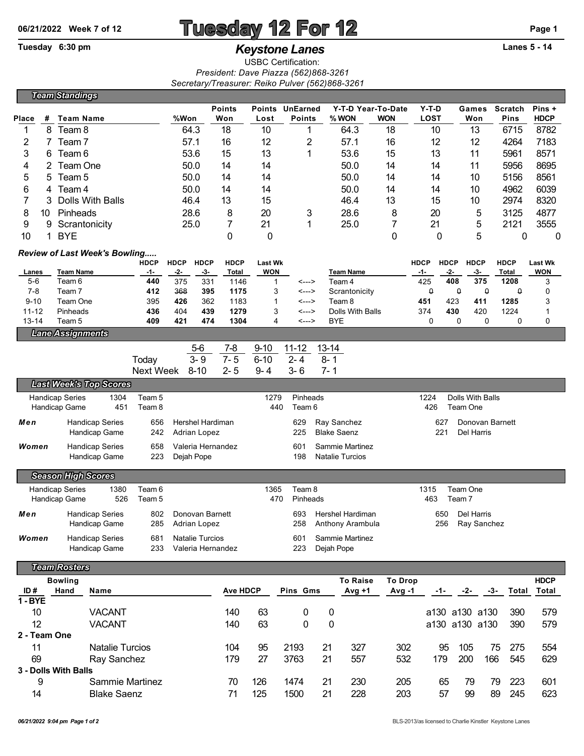## **06/21/2022 Week 7 of 12 Tuesday 12 For 12 Page 1**

USBC Certification:

*President: Dave Piazza (562)868-3261 Secretary/Treasurer: Reiko Pulver (562)868-3261*

Tuesday 6:30 pm *Keystone Lanes* **Lanes 5 - 14** 

|                                                     |                                          | <b>Team Standings</b>     |                                      |             |                                 |                        |                 |                                                         |                 |                    |                                |                         |             |                   |                    |              |             |                      |
|-----------------------------------------------------|------------------------------------------|---------------------------|--------------------------------------|-------------|---------------------------------|------------------------|-----------------|---------------------------------------------------------|-----------------|--------------------|--------------------------------|-------------------------|-------------|-------------------|--------------------|--------------|-------------|----------------------|
|                                                     |                                          |                           |                                      |             |                                 |                        | <b>Points</b>   |                                                         | Points UnEarned |                    | Y-T-D Year-To-Date             |                         | $Y-T-D$     |                   | Games              | Scratch      |             | Pins +               |
| Place                                               | #                                        | Team Name                 |                                      |             | %Won                            |                        | Won             | Lost                                                    | <b>Points</b>   |                    | % WON                          | <b>WON</b>              | <b>LOST</b> |                   | Won                |              | <b>Pins</b> | <b>HDCP</b>          |
| 1                                                   | 8                                        | Team 8                    |                                      |             | 64.3                            |                        | 18              | 10                                                      | 1               |                    | 64.3                           | 18                      | 10          |                   | 13                 |              | 6715        | 8782                 |
| 2                                                   | 7                                        | Team 7                    |                                      |             | 57.1                            |                        | 16              | 12                                                      | 2               |                    | 57.1                           | 16                      | 12          |                   | 12                 |              | 4264        | 7183                 |
| 3                                                   | Team 6<br>6                              |                           |                                      | 53.6        |                                 | 15                     | 13              | 1                                                       |                 | 53.6               | 15                             | 13                      |             | 11                |                    | 5961         | 8571        |                      |
| 4                                                   | 2<br>Team One                            |                           |                                      | 50.0        |                                 | 14                     | 14              |                                                         |                 | 50.0               | 14                             | 14                      |             | 11                |                    | 5956         | 8695        |                      |
| 5                                                   | 5                                        | Team 5                    |                                      |             | 50.0                            |                        | 14              | 14                                                      |                 |                    | 50.0                           | 14                      | 14          |                   | 10                 |              | 5156        | 8561                 |
| 6                                                   | 4                                        | Team 4                    |                                      |             | 50.0<br>46.4                    |                        | 14              | 14                                                      |                 |                    | 50.0                           | 14                      | 14          |                   | 10                 |              | 4962        | 6039                 |
| 7                                                   | 3                                        |                           | Dolls With Balls                     |             |                                 |                        | 13              | 15                                                      |                 |                    | 46.4                           | 13                      | 15          |                   | 10                 |              | 2974        | 8320                 |
| 8<br>10                                             |                                          | Pinheads                  |                                      |             | 28.6                            |                        | 8               | 20                                                      | 3               |                    | 28.6                           |                         | 8<br>20     |                   | 5                  |              | 3125        | 4877                 |
| 9                                                   | 9                                        | Scrantonicity             |                                      |             | 25.0                            |                        | $\overline{7}$  | 21                                                      | 1               |                    | 25.0                           | $\overline{7}$          | 21          |                   | 5                  |              | 2121        | 3555                 |
| 0<br>0<br>5<br><b>BYE</b><br>0<br>0<br>10<br>1<br>0 |                                          |                           |                                      |             |                                 |                        |                 |                                                         |                 |                    |                                | $\mathbf 0$             |             |                   |                    |              |             |                      |
|                                                     |                                          |                           | <b>Review of Last Week's Bowling</b> | <b>HDCP</b> | <b>HDCP</b>                     | <b>HDCP</b>            | <b>HDCP</b>     | <b>Last Wk</b>                                          |                 |                    |                                |                         | <b>HDCP</b> | <b>HDCP</b>       | <b>HDCP</b>        | <b>HDCP</b>  |             | <b>Last Wk</b>       |
| Lanes                                               |                                          | <b>Team Name</b>          |                                      | -1-         | -2-                             | -3-                    | Total           | WON                                                     |                 |                    | <b>Team Name</b>               |                         | -1-         | -2-               | -3-                | <b>Total</b> |             | <b>WON</b>           |
| $5-6$                                               |                                          | Team 6                    |                                      | 440         | 375                             | 331                    | 1146            | 1                                                       | <--->           |                    | Team 4                         |                         | 425         | 408               | 375                |              | 1208        | 3                    |
| $7 - 8$                                             |                                          | Team <sub>7</sub>         |                                      | 412         | 368                             | 395                    | 1175            | 3                                                       | <--->           |                    | Scrantonicity                  |                         | 0           | $\mathsf o$       | $\pmb{\mathsf{Q}}$ |              | $\theta$    | 0                    |
| $9 - 10$                                            |                                          | Team One                  |                                      | 395         | 426<br>404                      | 362                    | 1183<br>1279    | 1                                                       | <--->           |                    | Team 8                         |                         | 451         | 423<br>430        | 411                | 1224         | 1285        | 3                    |
| $11 - 12$<br>$13 - 14$                              |                                          | Pinheads<br>Team 5        |                                      | 436<br>409  | 421                             | 439<br>474             | 1304            | 3<br>4                                                  | <---><br><--->  |                    | Dolls With Balls<br><b>BYE</b> |                         | 374<br>0    | 0                 | 420<br>0           |              | 0           | 1<br>0               |
|                                                     |                                          | <b>Lane Assignments</b>   |                                      |             |                                 |                        |                 |                                                         |                 |                    |                                |                         |             |                   |                    |              |             |                      |
|                                                     |                                          |                           |                                      |             |                                 | 5-6                    | 7-8             | $9 - 10$                                                | $11 - 12$       |                    | $13 - 14$                      |                         |             |                   |                    |              |             |                      |
|                                                     |                                          |                           |                                      | Today       |                                 | $3 - 9$                | $7 - 5$         | $6 - 10$                                                | $2 - 4$         |                    | $8 - 1$                        |                         |             |                   |                    |              |             |                      |
|                                                     |                                          |                           |                                      | Next Week   |                                 | $8 - 10$               | $2 - 5$         | $9 - 4$                                                 | $3 - 6$         |                    | $7 - 1$                        |                         |             |                   |                    |              |             |                      |
| <b>Last Week's Top Scores</b>                       |                                          |                           |                                      |             |                                 |                        |                 |                                                         |                 |                    |                                |                         |             |                   |                    |              |             |                      |
|                                                     | 1304<br><b>Handicap Series</b><br>Team 5 |                           |                                      |             | 1279<br>Pinheads                |                        |                 |                                                         |                 |                    | 1224<br>Dolls With Balls       |                         |             |                   |                    |              |             |                      |
|                                                     |                                          | Handicap Game             | 451                                  | Team 8      |                                 |                        |                 | 440                                                     | Team 6          |                    |                                |                         | 426         |                   | Team One           |              |             |                      |
| Men                                                 |                                          |                           | <b>Handicap Series</b>               | 656         |                                 | Hershel Hardiman       |                 | 629                                                     |                 |                    | Ray Sanchez                    |                         |             | 627               | Donovan Barnett    |              |             |                      |
|                                                     |                                          |                           | Handicap Game                        | 242         | Adrian Lopez                    |                        |                 |                                                         | 225             | <b>Blake Saenz</b> |                                |                         | 221         |                   | Del Harris         |              |             |                      |
| Women                                               |                                          |                           | <b>Handicap Series</b>               | 658         | Valeria Hernandez<br>Dejah Pope |                        |                 | 601<br>Sammie Martinez<br>198<br><b>Natalie Turcios</b> |                 |                    |                                |                         |             |                   |                    |              |             |                      |
|                                                     |                                          |                           | Handicap Game                        | 223         |                                 |                        |                 |                                                         |                 |                    |                                |                         |             |                   |                    |              |             |                      |
|                                                     |                                          | <b>Season High Scores</b> |                                      |             |                                 |                        |                 |                                                         |                 |                    |                                |                         |             |                   |                    |              |             |                      |
|                                                     |                                          | <b>Handicap Series</b>    | 1380                                 | Team 6      |                                 |                        |                 | 1365                                                    | Team 8          |                    |                                |                         | 1315        |                   | Team One           |              |             |                      |
|                                                     |                                          | Handicap Game             | 526                                  | Team 5      |                                 |                        |                 | 470                                                     | Pinheads        |                    |                                |                         | 463         | Team <sub>7</sub> |                    |              |             |                      |
| Men                                                 |                                          |                           | <b>Handicap Series</b>               | 802         |                                 | Donovan Barnett        |                 |                                                         |                 |                    | 693 Hershel Hardiman           |                         |             |                   | 650 Del Harris     |              |             |                      |
|                                                     |                                          |                           | Handicap Game                        | 285         |                                 | Adrian Lopez           |                 |                                                         | 258             |                    | Anthony Arambula               |                         |             | 256               | Ray Sanchez        |              |             |                      |
| Women                                               |                                          |                           | <b>Handicap Series</b>               | 681         |                                 | <b>Natalie Turcios</b> |                 |                                                         | 601             |                    | Sammie Martinez                |                         |             |                   |                    |              |             |                      |
|                                                     |                                          |                           | Handicap Game                        | 233         |                                 | Valeria Hernandez      |                 |                                                         | 223             |                    | Dejah Pope                     |                         |             |                   |                    |              |             |                      |
|                                                     |                                          |                           |                                      |             |                                 |                        |                 |                                                         |                 |                    |                                |                         |             |                   |                    |              |             |                      |
|                                                     |                                          | <b>Team Rosters</b>       |                                      |             |                                 |                        |                 |                                                         |                 |                    |                                |                         |             |                   |                    |              |             |                      |
| ID#                                                 | <b>Bowling</b><br>Hand                   |                           | Name                                 |             |                                 |                        | <b>Ave HDCP</b> |                                                         | Pins Gms        |                    | <b>To Raise</b><br>$Avg +1$    | <b>To Drop</b><br>Avg-1 | -1-         |                   | -2-                | -3-          | Total       | <b>HDCP</b><br>Total |
| $1 - BYE$                                           |                                          |                           |                                      |             |                                 |                        |                 |                                                         |                 |                    |                                |                         |             |                   |                    |              |             |                      |
| 10                                                  |                                          |                           | <b>VACANT</b>                        |             |                                 |                        | 140             | 63                                                      | 0               |                    | 0                              |                         |             |                   | a130 a130 a130     |              | 390         | 579                  |
| 12                                                  |                                          |                           | <b>VACANT</b>                        |             |                                 |                        | 140             | 63                                                      | 0               |                    | 0                              |                         |             |                   | a130 a130 a130     |              | 390         | 579                  |
| 2 - Team One                                        |                                          |                           |                                      |             |                                 |                        |                 |                                                         |                 |                    |                                |                         |             |                   |                    |              |             |                      |
| 11                                                  |                                          |                           | Natalie Turcios                      |             |                                 |                        | 104             | 95                                                      | 2193            |                    | 21<br>327                      | 302                     |             | 95                | 105                | 75           | 275         | 554                  |
| 69                                                  |                                          |                           | Ray Sanchez                          |             |                                 |                        | 179             | 27                                                      | 3763            |                    | 21<br>557                      | 532                     | 179         |                   | 200                | 166          | 545         | 629                  |
| 3 - Dolls With Balls                                |                                          |                           |                                      |             |                                 |                        |                 |                                                         |                 |                    |                                |                         |             |                   |                    |              |             |                      |
| 9                                                   |                                          |                           | Sammie Martinez                      |             |                                 |                        | 70              | 126                                                     | 1474            |                    | 230<br>21                      | 205                     |             | 65                | 79                 | 79           | 223         | 601                  |
| 14                                                  |                                          | <b>Blake Saenz</b>        |                                      |             |                                 | 71                     | 125             | 1500                                                    |                 | 21<br>228          | 203                            |                         | 57          | 99                | 89                 | 245          | 623         |                      |